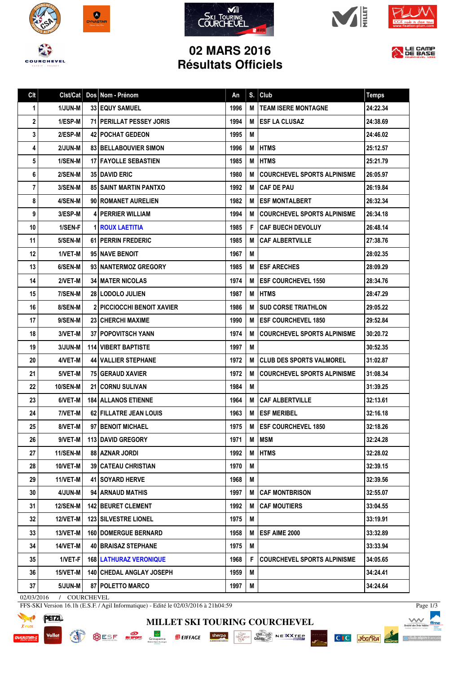









## **02 MARS 2016 Résultats Officiels**



| Clt |                 | Clst/Cat   Dos   Nom - Prénom     | An   | S. | Club                               | <b>Temps</b> |
|-----|-----------------|-----------------------------------|------|----|------------------------------------|--------------|
| 1   | 1/JUN-M         | <b>33 EQUY SAMUEL</b>             | 1996 | M  | <b>TEAM ISERE MONTAGNE</b>         | 24:22.34     |
| 2   | 1/ESP-M         | 71   PERILLAT PESSEY JORIS        | 1994 | м  | <b>ESF LA CLUSAZ</b>               | 24:38.69     |
| 3   | 2/ESP-M         | <b>42 POCHAT GEDEON</b>           | 1995 | M  |                                    | 24:46.02     |
| 4   | 2/JUN-M         | 83 BELLABOUVIER SIMON             | 1996 | M  | <b>HTMS</b>                        | 25:12.57     |
| 5   | 1/SEN-M         | <b>17   FAYOLLE SEBASTIEN</b>     | 1985 | M  | <b>HTMS</b>                        | 25:21.79     |
| 6   | 2/SEN-M         | <b>35 DAVID ERIC</b>              | 1980 | M  | <b>COURCHEVEL SPORTS ALPINISME</b> | 26:05.97     |
| 7   | 3/SEN-M         | <b>85 SAINT MARTIN PANTXO</b>     | 1992 | M  | <b>CAF DE PAU</b>                  | 26:19.84     |
| 8   | 4/SEN-M         | 90 ROMANET AURELIEN               | 1982 | M  | <b>ESF MONTALBERT</b>              | 26:32.34     |
| 9   | 3/ESP-M         | <b>4 PERRIER WILLIAM</b>          | 1994 | M  | <b>COURCHEVEL SPORTS ALPINISME</b> | 26:34.18     |
| 10  | 1/SEN-F         | <b>1 ROUX LAETITIA</b>            | 1985 | F  | <b>CAF BUECH DEVOLUY</b>           | 26:48.14     |
| 11  | 5/SEN-M         | <b>61 PERRIN FREDERIC</b>         | 1985 | M  | <b>CAF ALBERTVILLE</b>             | 27:38.76     |
| 12  | 1/VET-M         | 95 NAVE BENOIT                    | 1967 | M  |                                    | 28:02.35     |
| 13  | 6/SEN-M         | 93 I NANTERMOZ GREGORY            | 1985 | M  | <b>ESF ARECHES</b>                 | 28:09.29     |
| 14  | 2/VET-M         | <b>34   MATER NICOLAS</b>         | 1974 | M  | <b>ESF COURCHEVEL 1550</b>         | 28:34.76     |
| 15  | 7/SEN-M         | 28 LODOLO JULIEN                  | 1987 | M  | <b>HTMS</b>                        | 28:47.29     |
| 16  | 8/SEN-M         | <b>2 PICCIOCCHI BENOIT XAVIER</b> | 1986 | M  | <b>SUD CORSE TRIATHLON</b>         | 29:05.22     |
| 17  | 9/SEN-M         | <b>23   CHERCHI MAXIME</b>        | 1990 | м  | <b>ESF COURCHEVEL 1850</b>         | 29:52.84     |
| 18  | 3/VET-M         | <b>37   POPOVITSCH YANN</b>       | 1974 | М  | <b>COURCHEVEL SPORTS ALPINISME</b> | 30:20.72     |
| 19  | 3/JUN-M         | <b>114   VIBERT BAPTISTE</b>      | 1997 | M  |                                    | 30:52.35     |
| 20  | 4/VET-M         | <b>44 VALLIER STEPHANE</b>        | 1972 | M  | <b>CLUB DES SPORTS VALMOREL</b>    | 31:02.87     |
| 21  | 5/VET-M         | 75 GERAUD XAVIER                  | 1972 | M  | <b>COURCHEVEL SPORTS ALPINISME</b> | 31:08.34     |
| 22  | <b>10/SEN-M</b> | 21   CORNU SULIVAN                | 1984 | M  |                                    | 31:39.25     |
| 23  | 6/VET-M         | <b>184   ALLANOS ETIENNE</b>      | 1964 | M  | <b>CAF ALBERTVILLE</b>             | 32:13.61     |
| 24  | 7/VET-M         | 62 FILLATRE JEAN LOUIS            | 1963 | M  | <b>ESF MERIBEL</b>                 | 32:16.18     |
| 25  | 8/VET-M         | 97 BENOIT MICHAEL                 | 1975 | М  | <b>ESF COURCHEVEL 1850</b>         | 32:18.26     |
| 26  |                 | 9/VET-M   113   DAVID GREGORY     | 1971 |    | M MSM                              | 32:24.28     |
| 27  | 11/SEN-M        | <b>88   AZNAR JORDI</b>           | 1992 | M  | <b>HTMS</b>                        | 32:28.02     |
| 28  | $10/VET-M$      | <b>39   CATEAU CHRISTIAN</b>      | 1970 | M  |                                    | 32:39.15     |
| 29  | $11/VET-M$      | <b>41   SOYARD HERVE</b>          | 1968 | M  |                                    | 32:39.56     |
| 30  | 4/JUN-M         | 94 ARNAUD MATHIS                  | 1997 | М  | <b>CAF MONTBRISON</b>              | 32:55.07     |
| 31  | 12/SEN-M        | <b>142 BEURET CLEMENT</b>         | 1992 | M  | <b>CAF MOUTIERS</b>                | 33:04.55     |
| 32  | 12/VET-M        | <b>123 SILVESTRE LIONEL</b>       | 1975 | Μ  |                                    | 33:19.91     |
| 33  | 13/VET-M        | <b>160 DOMERGUE BERNARD</b>       | 1958 | M  | ESF AIME 2000                      | 33:32.89     |
| 34  | <b>14/VET-M</b> | <b>40 BRAISAZ STEPHANE</b>        | 1975 | Μ  |                                    | 33:33.94     |
| 35  | 1/VET-F         | <b>168   LATHURAZ VERONIQUE</b>   | 1968 | F  | <b>COURCHEVEL SPORTS ALPINISME</b> | 34:05.65     |
| 36  | $15/VET-M$      | 140 CHEDAL ANGLAY JOSEPH          | 1959 | Μ  |                                    | 34:24.41     |
| 37  | $5/JUN-M$       | 87 POLETTO MARCO                  | 1997 | M  |                                    | 34:24.64     |

02/03/2016 / COURCHEVEL

FFS-SKI Version 16.1h (E.S.F. / Agil Informatique) - Edité le 02/03/2016 à 21h04:59





**MILLET SKI TOURING COURCHEVEL**

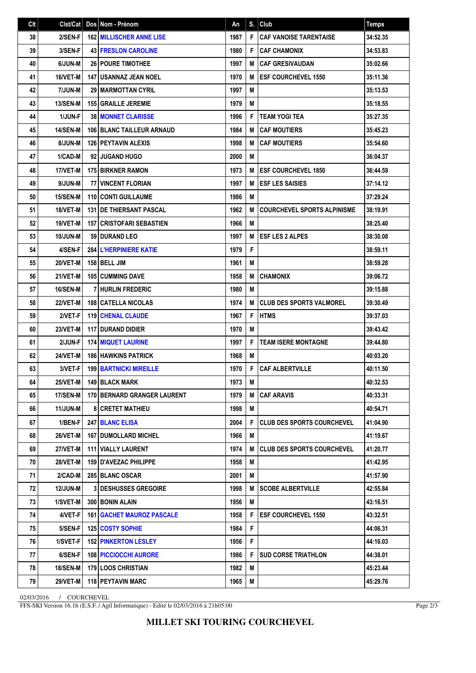| Clt | Clst/Cat        | Dos   Nom - Prénom                 | An   | S. | Club                               | <b>Temps</b> |
|-----|-----------------|------------------------------------|------|----|------------------------------------|--------------|
| 38  | 2/SEN-F         | 162 MILLISCHER ANNE LISE           | 1987 | F  | <b>CAF VANOISE TARENTAISE</b>      | 34:52.35     |
| 39  | 3/SEN-F         | <b>43 FRESLON CAROLINE</b>         | 1980 | F  | <b>CAF CHAMONIX</b>                | 34:53.83     |
| 40  | 6/JUN-M         | <b>26 POURE TIMOTHEE</b>           | 1997 | M  | <b>CAF GRESIVAUDAN</b>             | 35:02.66     |
| 41  | 16/VET-M        | <b>147   USANNAZ JEAN NOEL</b>     | 1970 | M  | <b>ESF COURCHEVEL 1550</b>         | 35:11.36     |
| 42  | 7/JUN-M         | <b>29   MARMOTTAN CYRIL</b>        | 1997 | M  |                                    | 35:13.53     |
| 43  | <b>13/SEN-M</b> | <b>155 GRAILLE JEREMIE</b>         | 1979 | M  |                                    | 35:18.55     |
| 44  | <b>1/JUN-F</b>  | <b>38   MONNET CLARISSE</b>        | 1996 | F  | <b>TEAM YOGI TEA</b>               | 35:27.35     |
| 45  | <b>14/SEN-M</b> | <b>106 BLANC TAILLEUR ARNAUD</b>   | 1984 | M  | <b>CAF MOUTIERS</b>                | 35:45.23     |
| 46  | 8/JUN-M         | 126 PEYTAVIN ALEXIS                | 1998 | M  | <b>CAF MOUTIERS</b>                | 35:54.60     |
| 47  | 1/CAD-M         | 92 JUGAND HUGO                     | 2000 | M  |                                    | 36:04.37     |
| 48  | 17/VET-M        | 175 BIRKNER RAMON                  | 1973 | M  | <b>IESF COURCHEVEL 1850</b>        | 36:44.59     |
| 49  | 9/JUN-M         | <b>77 VINCENT FLORIAN</b>          | 1997 | M  | <b>ESF LES SAISIES</b>             | 37:14.12     |
| 50  | <b>15/SEN-M</b> | 110 CONTI GUILLAUME                | 1986 | M  |                                    | 37:29.24     |
| 51  | 18/VET-M        | <b>131 DE THIERSANT PASCAL</b>     | 1962 | M  | <b>COURCHEVEL SPORTS ALPINISME</b> | 38:19.91     |
| 52  | <b>19/VET-M</b> | <b>157 CRISTOFARI SEBASTIEN</b>    | 1966 | M  |                                    | 38:25.40     |
| 53  | 10/JUN-M        | 59 DURAND LEO                      | 1997 | M  | <b>ESF LES 2 ALPES</b>             | 38:30.08     |
| 54  | 4/SEN-F         | <b>284 L'HERPINIERE KATIE</b>      | 1979 | F  |                                    | 38:59.11     |
| 55  | 20/VET-M        | 158 BELL JIM                       | 1961 | M  |                                    | 38:59.28     |
| 56  | 21/VET-M        | <b>105 CUMMING DAVE</b>            | 1958 | M  | <b>CHAMONIX</b>                    | 39:06.72     |
| 57  | 16/SEN-M        | I HURLIN FREDERIC                  | 1980 | M  |                                    | 39:15.88     |
| 58  | <b>22/VET-M</b> | <b>188 CATELLA NICOLAS</b>         | 1974 | M  | CLUB DES SPORTS VALMOREL           | 39:30.49     |
| 59  | 2/VET-F         | <b>119 CHENAL CLAUDE</b>           | 1967 | F  | <b>HTMS</b>                        | 39:37.03     |
| 60  | 23/VET-M        | 117 DURAND DIDIER                  | 1970 | M  |                                    | 39:43.42     |
| 61  | 2/JUN-F         | <b>174 MIQUET LAURINE</b>          | 1997 | F  | <b>TEAM ISERE MONTAGNE</b>         | 39:44.80     |
| 62  | 24/VET-M        | <b>186 HAWKINS PATRICK</b>         | 1968 | M  |                                    | 40:03.20     |
| 63  | 3/VET-F         | <b>199 BARTNICKI MIREILLE</b>      | 1970 | F  | <b>CAF ALBERTVILLE</b>             | 40:11.50     |
| 64  | 25/VET-M        | 149 BLACK MARK                     | 1973 | M  |                                    | 40:32.53     |
| 65  | <b>17/SEN-M</b> | <b>170 BERNARD GRANGER LAURENT</b> | 1979 | м  | <b>CAF ARAVIS</b>                  | 40:33.31     |
| 66  | <b>11/JUN-M</b> | <b>8 CRETET MATHIEU</b>            | 1998 | M  |                                    | 40:54.71     |
| 67  | 1/BEN-F         | <b>247 BLANC ELISA</b>             | 2004 | F  | <b>CLUB DES SPORTS COURCHEVEL</b>  | 41:04.90     |
| 68  | 26/VET-M        | <b>167   DUMOLLARD MICHEL</b>      | 1966 | M  |                                    | 41:19.67     |
| 69  | 27/VET-M        | <b>111 VIALLY LAURENT</b>          | 1974 | M  | <b>CLUB DES SPORTS COURCHEVEL</b>  | 41:20.77     |
| 70  | <b>28/VET-M</b> | <b>159 I D'AVEZAC PHILIPPE</b>     | 1958 | M  |                                    | 41:42.95     |
| 71  | 2/CAD-M         | 285 BLANC OSCAR                    | 2001 | M  |                                    | 41:57.90     |
| 72  | <b>12/JUN-M</b> | <b>3 DESHUSSES GREGOIRE</b>        | 1998 | М  | <b>SCOBE ALBERTVILLE</b>           | 42:55.84     |
| 73  | 1/SVET-M        | 300 BONIN ALAIN                    | 1956 | M  |                                    | 43:16.51     |
| 74  | 4/VET-F         | <b>161   GACHET MAUROZ PASCALE</b> | 1958 | F  | <b>ESF COURCHEVEL 1550</b>         | 43:32.51     |
| 75  | 5/SEN-F         | 125 COSTY SOPHIE                   | 1984 | F  |                                    | 44:06.31     |
| 76  | 1/SVET-F        | <b>152 PINKERTON LESLEY</b>        | 1956 | F  |                                    | 44:16.03     |
| 77  | 6/SEN-F         | 108 PICCIOCCHI AURORE              | 1986 | F. | <b>SUD CORSE TRIATHLON</b>         | 44:38.01     |
| 78  | <b>18/SEN-M</b> | <b>179 LOOS CHRISTIAN</b>          | 1982 | M  |                                    | 45:23.44     |
| 79  | <b>29/VET-M</b> | 118 PEYTAVIN MARC                  | 1965 | M  |                                    | 45:29.76     |

02/03/2016 / COURCHEVEL

FFS-SKI Version 16.1h (E.S.F. / Agil Informatique) - Edité le 02/03/2016 à 21h05:00

Page 2/3